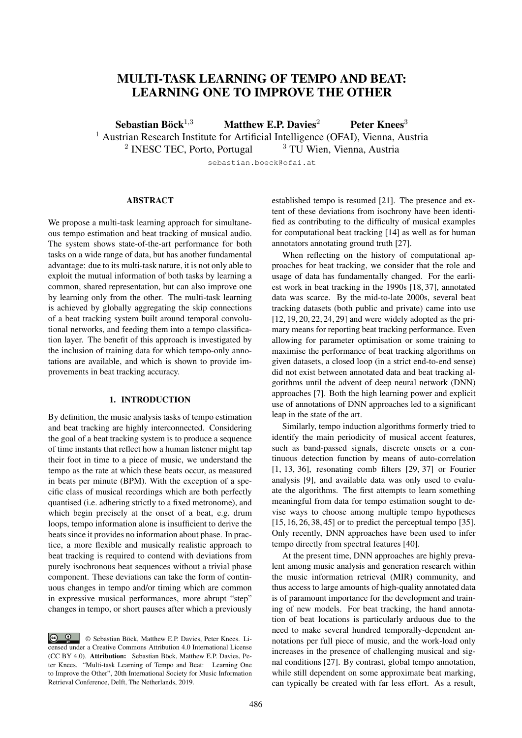# MULTI-TASK LEARNING OF TEMPO AND BEAT: LEARNING ONE TO IMPROVE THE OTHER

Sebastian Böck<sup>1,3</sup> Matthew E.P. Davies<sup>2</sup> Peter Knees<sup>3</sup>

<sup>1</sup> Austrian Research Institute for Artificial Intelligence (OFAI), Vienna, Austria<br><sup>2</sup> INESC TEC. Porto, Portugal  $3^3$  TU Wien, Vienna, Austria

<sup>2</sup> INESC TEC, Porto, Portugal  $3^3$  TU Wien, Vienna, Austria

sebastian.boeck@ofai.at

# ABSTRACT

We propose a multi-task learning approach for simultaneous tempo estimation and beat tracking of musical audio. The system shows state-of-the-art performance for both tasks on a wide range of data, but has another fundamental advantage: due to its multi-task nature, it is not only able to exploit the mutual information of both tasks by learning a common, shared representation, but can also improve one by learning only from the other. The multi-task learning is achieved by globally aggregating the skip connections of a beat tracking system built around temporal convolutional networks, and feeding them into a tempo classification layer. The benefit of this approach is investigated by the inclusion of training data for which tempo-only annotations are available, and which is shown to provide improvements in beat tracking accuracy.

## 1. INTRODUCTION

By definition, the music analysis tasks of tempo estimation and beat tracking are highly interconnected. Considering the goal of a beat tracking system is to produce a sequence of time instants that reflect how a human listener might tap their foot in time to a piece of music, we understand the tempo as the rate at which these beats occur, as measured in beats per minute (BPM). With the exception of a specific class of musical recordings which are both perfectly quantised (i.e. adhering strictly to a fixed metronome), and which begin precisely at the onset of a beat, e.g. drum loops, tempo information alone is insufficient to derive the beats since it provides no information about phase. In practice, a more flexible and musically realistic approach to beat tracking is required to contend with deviations from purely isochronous beat sequences without a trivial phase component. These deviations can take the form of continuous changes in tempo and/or timing which are common in expressive musical performances, more abrupt "step" changes in tempo, or short pauses after which a previously established tempo is resumed [21]. The presence and extent of these deviations from isochrony have been identified as contributing to the difficulty of musical examples for computational beat tracking [14] as well as for human annotators annotating ground truth [27].

When reflecting on the history of computational approaches for beat tracking, we consider that the role and usage of data has fundamentally changed. For the earliest work in beat tracking in the 1990s [18, 37], annotated data was scarce. By the mid-to-late 2000s, several beat tracking datasets (both public and private) came into use [12, 19, 20, 22, 24, 29] and were widely adopted as the primary means for reporting beat tracking performance. Even allowing for parameter optimisation or some training to maximise the performance of beat tracking algorithms on given datasets, a closed loop (in a strict end-to-end sense) did not exist between annotated data and beat tracking algorithms until the advent of deep neural network (DNN) approaches [7]. Both the high learning power and explicit use of annotations of DNN approaches led to a significant leap in the state of the art.

Similarly, tempo induction algorithms formerly tried to identify the main periodicity of musical accent features, such as band-passed signals, discrete onsets or a continuous detection function by means of auto-correlation [1, 13, 36], resonating comb filters [29, 37] or Fourier analysis [9], and available data was only used to evaluate the algorithms. The first attempts to learn something meaningful from data for tempo estimation sought to devise ways to choose among multiple tempo hypotheses [15, 16, 26, 38, 45] or to predict the perceptual tempo [35]. Only recently, DNN approaches have been used to infer tempo directly from spectral features [40].

At the present time, DNN approaches are highly prevalent among music analysis and generation research within the music information retrieval (MIR) community, and thus access to large amounts of high-quality annotated data is of paramount importance for the development and training of new models. For beat tracking, the hand annotation of beat locations is particularly arduous due to the need to make several hundred temporally-dependent annotations per full piece of music, and the work-load only increases in the presence of challenging musical and signal conditions [27]. By contrast, global tempo annotation, while still dependent on some approximate beat marking, can typically be created with far less effort. As a result,

 $\circledcirc$ © Sebastian Böck, Matthew E.P. Davies, Peter Knees. Licensed under a Creative Commons Attribution 4.0 International License (CC BY 4.0). Attribution: Sebastian Böck, Matthew E.P. Davies, Peter Knees. "Multi-task Learning of Tempo and Beat: Learning One to Improve the Other", 20th International Society for Music Information Retrieval Conference, Delft, The Netherlands, 2019.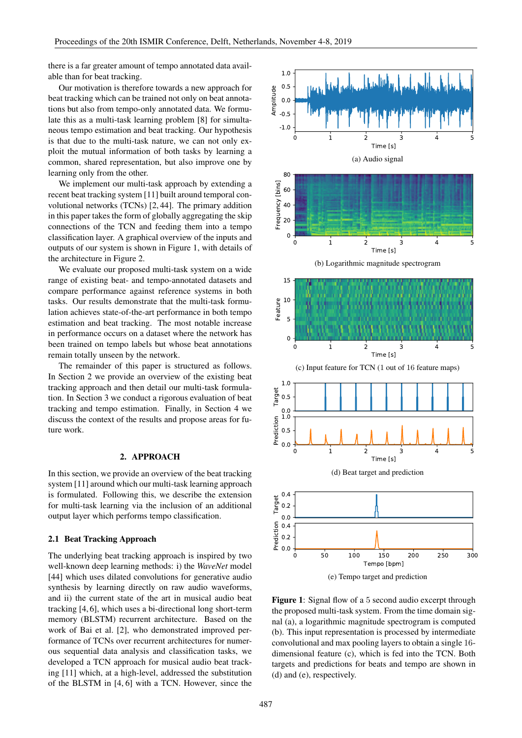there is a far greater amount of tempo annotated data available than for beat tracking.

Our motivation is therefore towards a new approach for beat tracking which can be trained not only on beat annotations but also from tempo-only annotated data. We formulate this as a multi-task learning problem [8] for simultaneous tempo estimation and beat tracking. Our hypothesis is that due to the multi-task nature, we can not only exploit the mutual information of both tasks by learning a common, shared representation, but also improve one by learning only from the other.

We implement our multi-task approach by extending a recent beat tracking system [11] built around temporal convolutional networks (TCNs) [2, 44]. The primary addition in this paper takes the form of globally aggregating the skip connections of the TCN and feeding them into a tempo classification layer. A graphical overview of the inputs and outputs of our system is shown in Figure 1, with details of the architecture in Figure 2.

We evaluate our proposed multi-task system on a wide range of existing beat- and tempo-annotated datasets and compare performance against reference systems in both tasks. Our results demonstrate that the multi-task formulation achieves state-of-the-art performance in both tempo estimation and beat tracking. The most notable increase in performance occurs on a dataset where the network has been trained on tempo labels but whose beat annotations remain totally unseen by the network.

The remainder of this paper is structured as follows. In Section 2 we provide an overview of the existing beat tracking approach and then detail our multi-task formulation. In Section 3 we conduct a rigorous evaluation of beat tracking and tempo estimation. Finally, in Section 4 we discuss the context of the results and propose areas for future work.

## 2. APPROACH

In this section, we provide an overview of the beat tracking system [11] around which our multi-task learning approach is formulated. Following this, we describe the extension for multi-task learning via the inclusion of an additional output layer which performs tempo classification.

#### 2.1 Beat Tracking Approach

The underlying beat tracking approach is inspired by two well-known deep learning methods: i) the *WaveNet* model [44] which uses dilated convolutions for generative audio synthesis by learning directly on raw audio waveforms, and ii) the current state of the art in musical audio beat tracking [4, 6], which uses a bi-directional long short-term memory (BLSTM) recurrent architecture. Based on the work of Bai et al. [2], who demonstrated improved performance of TCNs over recurrent architectures for numerous sequential data analysis and classification tasks, we developed a TCN approach for musical audio beat tracking [11] which, at a high-level, addressed the substitution of the BLSTM in [4, 6] with a TCN. However, since the



Figure 1: Signal flow of a 5 second audio excerpt through the proposed multi-task system. From the time domain signal (a), a logarithmic magnitude spectrogram is computed (b). This input representation is processed by intermediate convolutional and max pooling layers to obtain a single 16 dimensional feature (c), which is fed into the TCN. Both targets and predictions for beats and tempo are shown in (d) and (e), respectively.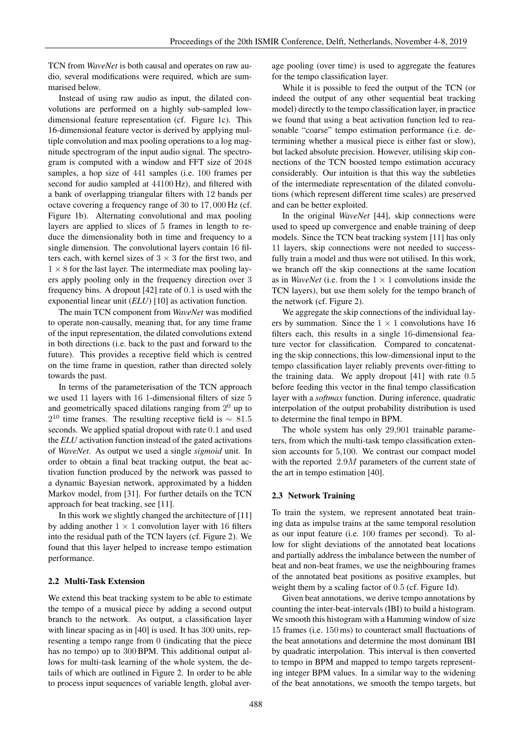TCN from *WaveNet* is both causal and operates on raw audio, several modifications were required, which are summarised below.

Instead of using raw audio as input, the dilated convolutions are performed on a highly sub-sampled lowdimensional feature representation (cf. Figure 1c). This 16-dimensional feature vector is derived by applying multiple convolution and max pooling operations to a log magnitude spectrogram of the input audio signal. The spectrogram is computed with a window and FFT size of 2048 samples, a hop size of 441 samples (i.e. 100 frames per second for audio sampled at 44100 Hz), and filtered with a bank of overlapping triangular filters with 12 bands per octave covering a frequency range of 30 to 17, 000 Hz (cf. Figure 1b). Alternating convolutional and max pooling layers are applied to slices of 5 frames in length to reduce the dimensionality both in time and frequency to a single dimension. The convolutional layers contain 16 filters each, with kernel sizes of  $3 \times 3$  for the first two, and  $1 \times 8$  for the last layer. The intermediate max pooling layers apply pooling only in the frequency direction over 3 frequency bins. A dropout [42] rate of 0.1 is used with the exponential linear unit (*ELU*) [10] as activation function.

The main TCN component from *WaveNet* was modified to operate non-causally, meaning that, for any time frame of the input representation, the dilated convolutions extend in both directions (i.e. back to the past and forward to the future). This provides a receptive field which is centred on the time frame in question, rather than directed solely towards the past.

In terms of the parameterisation of the TCN approach we used 11 layers with 16 1-dimensional filters of size 5 and geometrically spaced dilations ranging from  $2<sup>0</sup>$  up to  $2^{10}$  time frames. The resulting receptive field is  $\sim 81.5$ seconds. We applied spatial dropout with rate 0.1 and used the *ELU* activation function instead of the gated activations of *WaveNet*. As output we used a single *sigmoid* unit. In order to obtain a final beat tracking output, the beat activation function produced by the network was passed to a dynamic Bayesian network, approximated by a hidden Markov model, from [31]. For further details on the TCN approach for beat tracking, see [11].

In this work we slightly changed the architecture of [11] by adding another  $1 \times 1$  convolution layer with 16 filters into the residual path of the TCN layers (cf. Figure 2). We found that this layer helped to increase tempo estimation performance.

# 2.2 Multi-Task Extension

We extend this beat tracking system to be able to estimate the tempo of a musical piece by adding a second output branch to the network. As output, a classification layer with linear spacing as in [40] is used. It has 300 units, representing a tempo range from 0 (indicating that the piece has no tempo) up to 300 BPM. This additional output allows for multi-task learning of the whole system, the details of which are outlined in Figure 2. In order to be able to process input sequences of variable length, global average pooling (over time) is used to aggregate the features for the tempo classification layer.

While it is possible to feed the output of the TCN (or indeed the output of any other sequential beat tracking model) directly to the tempo classification layer, in practice we found that using a beat activation function led to reasonable "coarse" tempo estimation performance (i.e. determining whether a musical piece is either fast or slow), but lacked absolute precision. However, utilising skip connections of the TCN boosted tempo estimation accuracy considerably. Our intuition is that this way the subtleties of the intermediate representation of the dilated convolutions (which represent different time scales) are preserved and can be better exploited.

In the original *WaveNet* [44], skip connections were used to speed up convergence and enable training of deep models. Since the TCN beat tracking system [11] has only 11 layers, skip connections were not needed to successfully train a model and thus were not utilised. In this work, we branch off the skip connections at the same location as in *WaveNet* (i.e. from the  $1 \times 1$  convolutions inside the TCN layers), but use them solely for the tempo branch of the network (cf. Figure 2).

We aggregate the skip connections of the individual layers by summation. Since the  $1 \times 1$  convolutions have 16 filters each, this results in a single 16-dimensional feature vector for classification. Compared to concatenating the skip connections, this low-dimensional input to the tempo classification layer reliably prevents over-fitting to the training data. We apply dropout [41] with rate 0.5 before feeding this vector in the final tempo classification layer with a *softmax* function. During inference, quadratic interpolation of the output probability distribution is used to determine the final tempo in BPM.

The whole system has only 29,901 trainable parameters, from which the multi-task tempo classification extension accounts for 5,100. We contrast our compact model with the reported 2.9M parameters of the current state of the art in tempo estimation [40].

#### 2.3 Network Training

To train the system, we represent annotated beat training data as impulse trains at the same temporal resolution as our input feature (i.e. 100 frames per second). To allow for slight deviations of the annotated beat locations and partially address the imbalance between the number of beat and non-beat frames, we use the neighbouring frames of the annotated beat positions as positive examples, but weight them by a scaling factor of 0.5 (cf. Figure 1d).

Given beat annotations, we derive tempo annotations by counting the inter-beat-intervals (IBI) to build a histogram. We smooth this histogram with a Hamming window of size 15 frames (i.e. 150 ms) to counteract small fluctuations of the beat annotations and determine the most dominant IBI by quadratic interpolation. This interval is then converted to tempo in BPM and mapped to tempo targets representing integer BPM values. In a similar way to the widening of the beat annotations, we smooth the tempo targets, but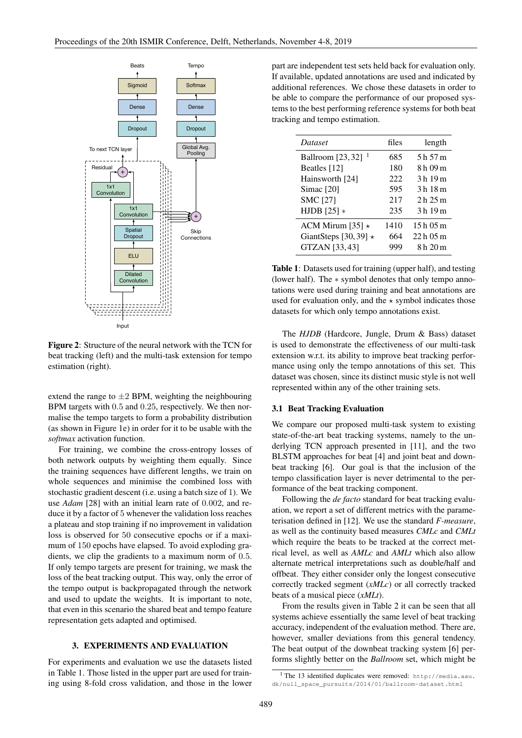

Figure 2: Structure of the neural network with the TCN for beat tracking (left) and the multi-task extension for tempo estimation (right).

extend the range to  $\pm 2$  BPM, weighting the neighbouring BPM targets with 0.5 and 0.25, respectively. We then normalise the tempo targets to form a probability distribution (as shown in Figure 1e) in order for it to be usable with the *softmax* activation function.

For training, we combine the cross-entropy losses of both network outputs by weighting them equally. Since the training sequences have different lengths, we train on whole sequences and minimise the combined loss with stochastic gradient descent (i.e. using a batch size of 1). We use *Adam* [28] with an initial learn rate of 0.002, and reduce it by a factor of 5 whenever the validation loss reaches a plateau and stop training if no improvement in validation loss is observed for 50 consecutive epochs or if a maximum of 150 epochs have elapsed. To avoid exploding gradients, we clip the gradients to a maximum norm of 0.5. If only tempo targets are present for training, we mask the loss of the beat tracking output. This way, only the error of the tempo output is backpropagated through the network and used to update the weights. It is important to note, that even in this scenario the shared beat and tempo feature representation gets adapted and optimised.

## 3. EXPERIMENTS AND EVALUATION

For experiments and evaluation we use the datasets listed in Table 1. Those listed in the upper part are used for training using 8-fold cross validation, and those in the lower part are independent test sets held back for evaluation only. If available, updated annotations are used and indicated by additional references. We chose these datasets in order to be able to compare the performance of our proposed systems to the best performing reference systems for both beat tracking and tempo estimation.

| <i>Dataset</i>              | files | length     |
|-----------------------------|-------|------------|
| <b>Ballroom</b> [23, 32]    | 685   | 5 h 57 m   |
| Beatles [12]                | 180   | 8 h 09 m   |
| Hainsworth [24]             | 222   | 3h19m      |
| $Simac$ [20]                | 595   | 3 h 18 m   |
| <b>SMC [27]</b>             | 217   | 2h25m      |
| HJDB $[25]$ *               | 235   | 3h19m      |
| ACM Mirum [35] $\star$      | 1410  | 15h05m     |
| GiantSteps [30, 39] $\star$ | 664   | $22h$ 05 m |
| GTZAN [33, 43]              | 999   | 8 h 20 m   |

Table 1: Datasets used for training (upper half), and testing (lower half). The ∗ symbol denotes that only tempo annotations were used during training and beat annotations are used for evaluation only, and the  $\star$  symbol indicates those datasets for which only tempo annotations exist.

The *HJDB* (Hardcore, Jungle, Drum & Bass) dataset is used to demonstrate the effectiveness of our multi-task extension w.r.t. its ability to improve beat tracking performance using only the tempo annotations of this set. This dataset was chosen, since its distinct music style is not well represented within any of the other training sets.

## 3.1 Beat Tracking Evaluation

We compare our proposed multi-task system to existing state-of-the-art beat tracking systems, namely to the underlying TCN approach presented in [11], and the two BLSTM approaches for beat [4] and joint beat and downbeat tracking [6]. Our goal is that the inclusion of the tempo classification layer is never detrimental to the performance of the beat tracking component.

Following the *de facto* standard for beat tracking evaluation, we report a set of different metrics with the parameterisation defined in [12]. We use the standard *F-measure*, as well as the continuity based measures *CMLc* and *CMLt* which require the beats to be tracked at the correct metrical level, as well as *AMLc* and *AMLt* which also allow alternate metrical interpretations such as double/half and offbeat. They either consider only the longest consecutive correctly tracked segment (*xMLc*) or all correctly tracked beats of a musical piece (*xMLt*).

From the results given in Table 2 it can be seen that all systems achieve essentially the same level of beat tracking accuracy, independent of the evaluation method. There are, however, smaller deviations from this general tendency. The beat output of the downbeat tracking system [6] performs slightly better on the *Ballroom* set, which might be

<sup>1</sup> The 13 identified duplicates were removed: http://media.aau. dk/null\_space\_pursuits/2014/01/ballroom-dataset.html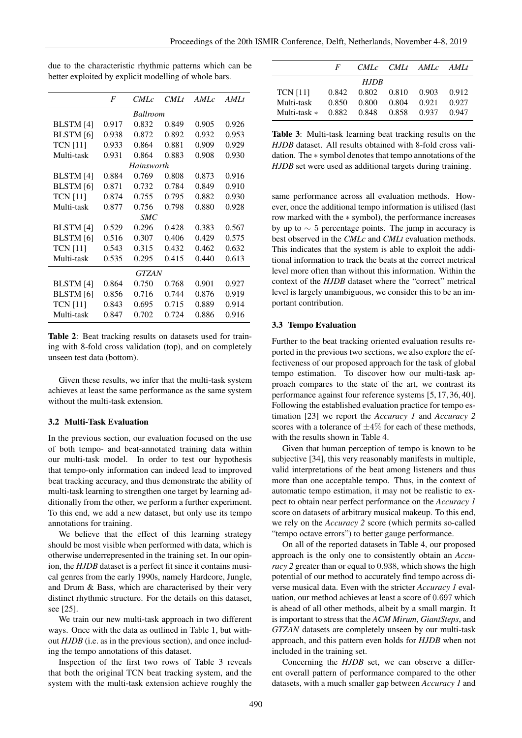|                  | F     | <i>CMLc</i> | CMLt  | AMLc  | AMLt  |
|------------------|-------|-------------|-------|-------|-------|
| <b>Ballroom</b>  |       |             |       |       |       |
| BLSTM [4]        | 0.917 | 0.832       | 0.849 | 0.905 | 0.926 |
| <b>BLSTM</b> [6] | 0.938 | 0.872       | 0.892 | 0.932 | 0.953 |
| <b>TCN [11]</b>  | 0.933 | 0.864       | 0.881 | 0.909 | 0.929 |
| Multi-task       | 0.931 | 0.864       | 0.883 | 0.908 | 0.930 |
| Hainsworth       |       |             |       |       |       |
| <b>BLSTM</b> [4] | 0.884 | 0.769       | 0.808 | 0.873 | 0.916 |
| <b>BLSTM</b> [6] | 0.871 | 0.732       | 0.784 | 0.849 | 0.910 |
| <b>TCN</b> [11]  | 0.874 | 0.755       | 0.795 | 0.882 | 0.930 |
| Multi-task       | 0.877 | 0.756       | 0.798 | 0.880 | 0.928 |
|                  |       | SMC         |       |       |       |
| <b>BLSTM</b> [4] | 0.529 | 0.296       | 0.428 | 0.383 | 0.567 |
| <b>BLSTM</b> [6] | 0.516 | 0.307       | 0.406 | 0.429 | 0.575 |
| <b>TCN [11]</b>  | 0.543 | 0.315       | 0.432 | 0.462 | 0.632 |
| Multi-task       | 0.535 | 0.295       | 0.415 | 0.440 | 0.613 |
| GTZAN            |       |             |       |       |       |
| <b>BLSTM</b> [4] | 0.864 | 0.750       | 0.768 | 0.901 | 0.927 |
| <b>BLSTM</b> [6] | 0.856 | 0.716       | 0.744 | 0.876 | 0.919 |
| <b>TCN [11]</b>  | 0.843 | 0.695       | 0.715 | 0.889 | 0.914 |
| Multi-task       | 0.847 | 0.702       | 0.724 | 0.886 | 0.916 |

due to the characteristic rhythmic patterns which can be better exploited by explicit modelling of whole bars.

Table 2: Beat tracking results on datasets used for training with 8-fold cross validation (top), and on completely unseen test data (bottom).

Given these results, we infer that the multi-task system achieves at least the same performance as the same system without the multi-task extension.

#### 3.2 Multi-Task Evaluation

In the previous section, our evaluation focused on the use of both tempo- and beat-annotated training data within our multi-task model. In order to test our hypothesis that tempo-only information can indeed lead to improved beat tracking accuracy, and thus demonstrate the ability of multi-task learning to strengthen one target by learning additionally from the other, we perform a further experiment. To this end, we add a new dataset, but only use its tempo annotations for training.

We believe that the effect of this learning strategy should be most visible when performed with data, which is otherwise underrepresented in the training set. In our opinion, the *HJDB* dataset is a perfect fit since it contains musical genres from the early 1990s, namely Hardcore, Jungle, and Drum & Bass, which are characterised by their very distinct rhythmic structure. For the details on this dataset, see [25].

We train our new multi-task approach in two different ways. Once with the data as outlined in Table 1, but without *HJDB* (i.e. as in the previous section), and once including the tempo annotations of this dataset.

Inspection of the first two rows of Table 3 reveals that both the original TCN beat tracking system, and the system with the multi-task extension achieve roughly the

|                 | $\bm{F}$ |       |       | CML <sub>C</sub> CML <sub>t</sub> AML <sub>C</sub> AML <sub>t</sub> |       |
|-----------------|----------|-------|-------|---------------------------------------------------------------------|-------|
| HJDB            |          |       |       |                                                                     |       |
| <b>TCN</b> [11] | 0.842    | 0.802 |       | 0.810 0.903                                                         | 0.912 |
| Multi-task      | 0.850    | 0.800 | 0.804 | 0.921                                                               | 0.927 |
| Multi-task $*$  | 0.882    | 0.848 |       | 0.858 0.937                                                         | 0.947 |

Table 3: Multi-task learning beat tracking results on the *HJDB* dataset. All results obtained with 8-fold cross validation. The ∗ symbol denotes that tempo annotations of the *HJDB* set were used as additional targets during training.

same performance across all evaluation methods. However, once the additional tempo information is utilised (last row marked with the ∗ symbol), the performance increases by up to  $\sim$  5 percentage points. The jump in accuracy is best observed in the *CMLc* and *CMLt* evaluation methods. This indicates that the system is able to exploit the additional information to track the beats at the correct metrical level more often than without this information. Within the context of the *HJDB* dataset where the "correct" metrical level is largely unambiguous, we consider this to be an important contribution.

#### 3.3 Tempo Evaluation

Further to the beat tracking oriented evaluation results reported in the previous two sections, we also explore the effectiveness of our proposed approach for the task of global tempo estimation. To discover how our multi-task approach compares to the state of the art, we contrast its performance against four reference systems [5, 17, 36, 40]. Following the established evaluation practice for tempo estimation [23] we report the *Accuracy 1* and *Accuracy 2* scores with a tolerance of  $\pm 4\%$  for each of these methods, with the results shown in Table 4.

Given that human perception of tempo is known to be subjective [34], this very reasonably manifests in multiple, valid interpretations of the beat among listeners and thus more than one acceptable tempo. Thus, in the context of automatic tempo estimation, it may not be realistic to expect to obtain near perfect performance on the *Accuracy 1* score on datasets of arbitrary musical makeup. To this end, we rely on the *Accuracy 2* score (which permits so-called "tempo octave errors") to better gauge performance.

On all of the reported datasets in Table 4, our proposed approach is the only one to consistently obtain an *Accuracy 2* greater than or equal to 0.938, which shows the high potential of our method to accurately find tempo across diverse musical data. Even with the stricter *Accuracy 1* evaluation, our method achieves at least a score of 0.697 which is ahead of all other methods, albeit by a small margin. It is important to stress that the *ACM Mirum*, *GiantSteps*, and *GTZAN* datasets are completely unseen by our multi-task approach, and this pattern even holds for *HJDB* when not included in the training set.

Concerning the *HJDB* set, we can observe a different overall pattern of performance compared to the other datasets, with a much smaller gap between *Accuracy 1* and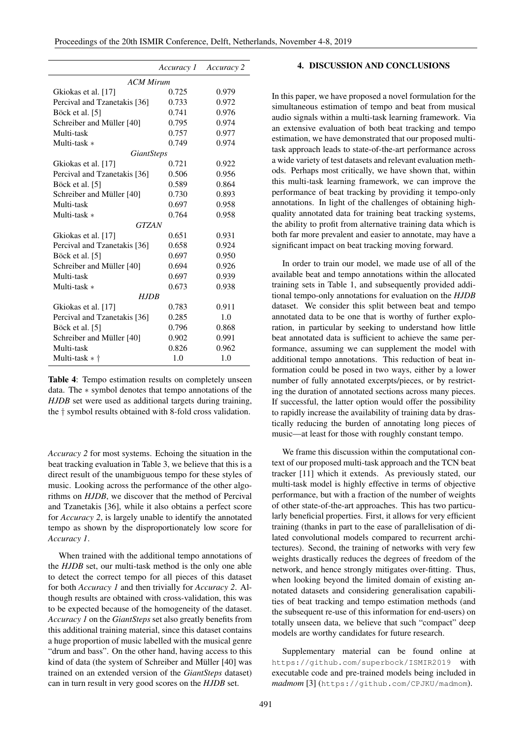|                              | Accuracy 1 | Accuracy 2 |  |  |  |
|------------------------------|------------|------------|--|--|--|
| <b>ACM Mirum</b>             |            |            |  |  |  |
| Gkiokas et al. [17]          | 0.725      | 0.979      |  |  |  |
| Percival and Tzanetakis [36] | 0.733      | 0.972      |  |  |  |
| Böck et al. [5]              | 0.741      | 0.976      |  |  |  |
| Schreiber and Müller [40]    | 0.795      | 0.974      |  |  |  |
| Multi-task                   | 0.757      | 0.977      |  |  |  |
| Multi-task *                 | 0.749      | 0.974      |  |  |  |
| <i>GiantSteps</i>            |            |            |  |  |  |
| Gkiokas et al. [17]          | 0.721      | 0.922      |  |  |  |
| Percival and Tzanetakis [36] | 0.506      | 0.956      |  |  |  |
| Böck et al. [5]              | 0.589      | 0.864      |  |  |  |
| Schreiber and Müller [40]    | 0.730      | 0.893      |  |  |  |
| Multi-task                   | 0.697      | 0.958      |  |  |  |
| Multi-task *                 | 0.764      | 0.958      |  |  |  |
| <b>GTZAN</b>                 |            |            |  |  |  |
| Gkiokas et al. [17]          | 0.651      | 0.931      |  |  |  |
| Percival and Tzanetakis [36] | 0.658      | 0.924      |  |  |  |
| Böck et al. [5]              | 0.697      | 0.950      |  |  |  |
| Schreiber and Müller [40]    | 0.694      | 0.926      |  |  |  |
| Multi-task                   | 0.697      | 0.939      |  |  |  |
| Multi-task *                 | 0.673      | 0.938      |  |  |  |
| HJDB                         |            |            |  |  |  |
| Gkiokas et al. [17]          | 0.783      | 0.911      |  |  |  |
| Percival and Tzanetakis [36] | 0.285      | 1.0        |  |  |  |
| Böck et al. [5]              | 0.796      | 0.868      |  |  |  |
| Schreiber and Müller [40]    | 0.902      | 0.991      |  |  |  |
| Multi-task                   | 0.826      | 0.962      |  |  |  |
| Multi-task $*$ †             | 1.0        | 1.0        |  |  |  |

Table 4: Tempo estimation results on completely unseen data. The ∗ symbol denotes that tempo annotations of the *HJDB* set were used as additional targets during training, the † symbol results obtained with 8-fold cross validation.

*Accuracy 2* for most systems. Echoing the situation in the beat tracking evaluation in Table 3, we believe that this is a direct result of the unambiguous tempo for these styles of music. Looking across the performance of the other algorithms on *HJDB*, we discover that the method of Percival and Tzanetakis [36], while it also obtains a perfect score for *Accuracy 2*, is largely unable to identify the annotated tempo as shown by the disproportionately low score for *Accuracy 1*.

When trained with the additional tempo annotations of the *HJDB* set, our multi-task method is the only one able to detect the correct tempo for all pieces of this dataset for both *Accuracy 1* and then trivially for *Accuracy 2*. Although results are obtained with cross-validation, this was to be expected because of the homogeneity of the dataset. *Accuracy 1* on the *GiantSteps* set also greatly benefits from this additional training material, since this dataset contains a huge proportion of music labelled with the musical genre "drum and bass". On the other hand, having access to this kind of data (the system of Schreiber and Müller [40] was trained on an extended version of the *GiantSteps* dataset) can in turn result in very good scores on the *HJDB* set.

### 4. DISCUSSION AND CONCLUSIONS

In this paper, we have proposed a novel formulation for the simultaneous estimation of tempo and beat from musical audio signals within a multi-task learning framework. Via an extensive evaluation of both beat tracking and tempo estimation, we have demonstrated that our proposed multitask approach leads to state-of-the-art performance across a wide variety of test datasets and relevant evaluation methods. Perhaps most critically, we have shown that, within this multi-task learning framework, we can improve the performance of beat tracking by providing it tempo-only annotations. In light of the challenges of obtaining highquality annotated data for training beat tracking systems, the ability to profit from alternative training data which is both far more prevalent and easier to annotate, may have a significant impact on beat tracking moving forward.

In order to train our model, we made use of all of the available beat and tempo annotations within the allocated training sets in Table 1, and subsequently provided additional tempo-only annotations for evaluation on the *HJDB* dataset. We consider this split between beat and tempo annotated data to be one that is worthy of further exploration, in particular by seeking to understand how little beat annotated data is sufficient to achieve the same performance, assuming we can supplement the model with additional tempo annotations. This reduction of beat information could be posed in two ways, either by a lower number of fully annotated excerpts/pieces, or by restricting the duration of annotated sections across many pieces. If successful, the latter option would offer the possibility to rapidly increase the availability of training data by drastically reducing the burden of annotating long pieces of music—at least for those with roughly constant tempo.

We frame this discussion within the computational context of our proposed multi-task approach and the TCN beat tracker [11] which it extends. As previously stated, our multi-task model is highly effective in terms of objective performance, but with a fraction of the number of weights of other state-of-the-art approaches. This has two particularly beneficial properties. First, it allows for very efficient training (thanks in part to the ease of parallelisation of dilated convolutional models compared to recurrent architectures). Second, the training of networks with very few weights drastically reduces the degrees of freedom of the network, and hence strongly mitigates over-fitting. Thus, when looking beyond the limited domain of existing annotated datasets and considering generalisation capabilities of beat tracking and tempo estimation methods (and the subsequent re-use of this information for end-users) on totally unseen data, we believe that such "compact" deep models are worthy candidates for future research.

Supplementary material can be found online at https://github.com/superbock/ISMIR2019 with executable code and pre-trained models being included in *madmom* [3] (https://github.com/CPJKU/madmom).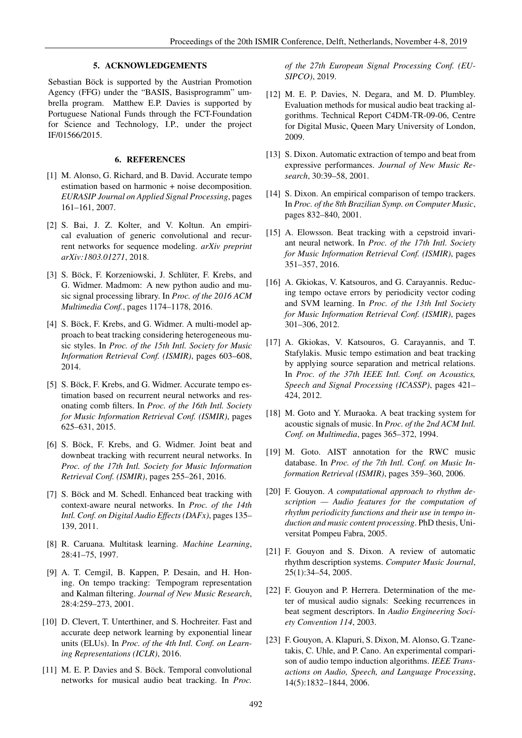## 5. ACKNOWLEDGEMENTS

Sebastian Böck is supported by the Austrian Promotion Agency (FFG) under the "BASIS, Basisprogramm" umbrella program. Matthew E.P. Davies is supported by Portuguese National Funds through the FCT-Foundation for Science and Technology, I.P., under the project IF/01566/2015.

## 6. REFERENCES

- [1] M. Alonso, G. Richard, and B. David. Accurate tempo estimation based on harmonic + noise decomposition. *EURASIP Journal on Applied Signal Processing*, pages 161–161, 2007.
- [2] S. Bai, J. Z. Kolter, and V. Koltun. An empirical evaluation of generic convolutional and recurrent networks for sequence modeling. *arXiv preprint arXiv:1803.01271*, 2018.
- [3] S. Böck, F. Korzeniowski, J. Schlüter, F. Krebs, and G. Widmer. Madmom: A new python audio and music signal processing library. In *Proc. of the 2016 ACM Multimedia Conf.*, pages 1174–1178, 2016.
- [4] S. Böck, F. Krebs, and G. Widmer. A multi-model approach to beat tracking considering heterogeneous music styles. In *Proc. of the 15th Intl. Society for Music Information Retrieval Conf. (ISMIR)*, pages 603–608, 2014.
- [5] S. Böck, F. Krebs, and G. Widmer. Accurate tempo estimation based on recurrent neural networks and resonating comb filters. In *Proc. of the 16th Intl. Society for Music Information Retrieval Conf. (ISMIR)*, pages 625–631, 2015.
- [6] S. Böck, F. Krebs, and G. Widmer. Joint beat and downbeat tracking with recurrent neural networks. In *Proc. of the 17th Intl. Society for Music Information Retrieval Conf. (ISMIR)*, pages 255–261, 2016.
- [7] S. Böck and M. Schedl. Enhanced beat tracking with context-aware neural networks. In *Proc. of the 14th Intl. Conf. on Digital Audio Effects (DAFx)*, pages 135– 139, 2011.
- [8] R. Caruana. Multitask learning. *Machine Learning*, 28:41–75, 1997.
- [9] A. T. Cemgil, B. Kappen, P. Desain, and H. Honing. On tempo tracking: Tempogram representation and Kalman filtering. *Journal of New Music Research*, 28:4:259–273, 2001.
- [10] D. Clevert, T. Unterthiner, and S. Hochreiter. Fast and accurate deep network learning by exponential linear units (ELUs). In *Proc. of the 4th Intl. Conf. on Learning Representations (ICLR)*, 2016.
- [11] M. E. P. Davies and S. Böck. Temporal convolutional networks for musical audio beat tracking. In *Proc.*

*of the 27th European Signal Processing Conf. (EU-SIPCO)*, 2019.

- [12] M. E. P. Davies, N. Degara, and M. D. Plumbley. Evaluation methods for musical audio beat tracking algorithms. Technical Report C4DM-TR-09-06, Centre for Digital Music, Queen Mary University of London, 2009.
- [13] S. Dixon. Automatic extraction of tempo and beat from expressive performances. *Journal of New Music Research*, 30:39–58, 2001.
- [14] S. Dixon. An empirical comparison of tempo trackers. In *Proc. of the 8th Brazilian Symp. on Computer Music*, pages 832–840, 2001.
- [15] A. Elowsson. Beat tracking with a cepstroid invariant neural network. In *Proc. of the 17th Intl. Society for Music Information Retrieval Conf. (ISMIR)*, pages 351–357, 2016.
- [16] A. Gkiokas, V. Katsouros, and G. Carayannis. Reducing tempo octave errors by periodicity vector coding and SVM learning. In *Proc. of the 13th Intl Society for Music Information Retrieval Conf. (ISMIR)*, pages 301–306, 2012.
- [17] A. Gkiokas, V. Katsouros, G. Carayannis, and T. Stafylakis. Music tempo estimation and beat tracking by applying source separation and metrical relations. In *Proc. of the 37th IEEE Intl. Conf. on Acoustics, Speech and Signal Processing (ICASSP)*, pages 421– 424, 2012.
- [18] M. Goto and Y. Muraoka. A beat tracking system for acoustic signals of music. In *Proc. of the 2nd ACM Intl. Conf. on Multimedia*, pages 365–372, 1994.
- [19] M. Goto. AIST annotation for the RWC music database. In *Proc. of the 7th Intl. Conf. on Music Information Retrieval (ISMIR)*, pages 359–360, 2006.
- [20] F. Gouyon. *A computational approach to rhythm description — Audio features for the computation of rhythm periodicity functions and their use in tempo induction and music content processing*. PhD thesis, Universitat Pompeu Fabra, 2005.
- [21] F. Gouyon and S. Dixon. A review of automatic rhythm description systems. *Computer Music Journal*, 25(1):34–54, 2005.
- [22] F. Gouyon and P. Herrera. Determination of the meter of musical audio signals: Seeking recurrences in beat segment descriptors. In *Audio Engineering Society Convention 114*, 2003.
- [23] F. Gouyon, A. Klapuri, S. Dixon, M. Alonso, G. Tzanetakis, C. Uhle, and P. Cano. An experimental comparison of audio tempo induction algorithms. *IEEE Transactions on Audio, Speech, and Language Processing*, 14(5):1832–1844, 2006.